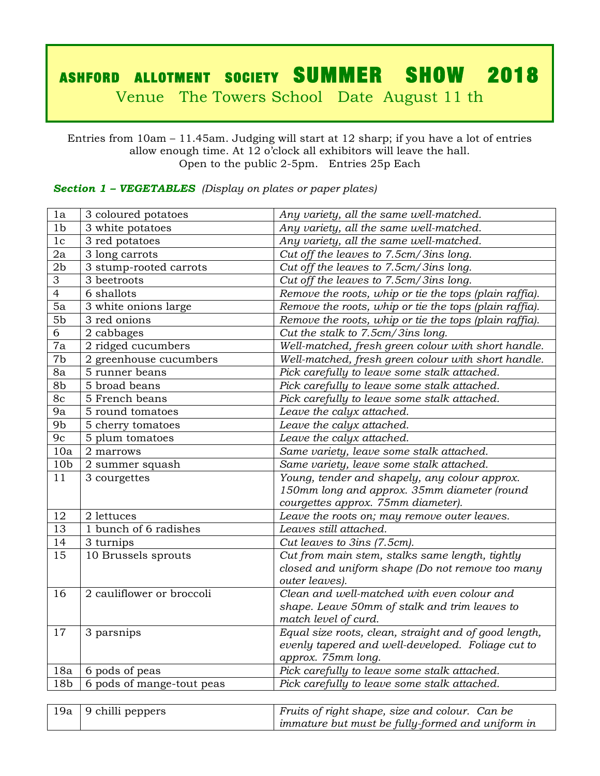# ASHFORD ALLOTMENT SOCIETY SUMMER SHOW 2018

Venue The Towers School Date August 11 th

Entries from 10am – 11.45am. Judging will start at 12 sharp; if you have a lot of entries allow enough time. At 12 o'clock all exhibitors will leave the hall. Open to the public 2-5pm. Entries 25p Each

## *Section 1 – VEGETABLES (Display on plates or paper plates)*

| 1a              | 3 coloured potatoes       | Any variety, all the same well-matched.                |
|-----------------|---------------------------|--------------------------------------------------------|
| 1 <sub>b</sub>  | 3 white potatoes          | Any variety, all the same well-matched.                |
| 1 <sub>c</sub>  | 3 red potatoes            | Any variety, all the same well-matched.                |
| 2a              | 3 long carrots            | Cut off the leaves to 7.5cm/3ins long.                 |
| 2 <sub>b</sub>  | 3 stump-rooted carrots    | Cut off the leaves to 7.5cm/3ins long.                 |
| 3               | 3 beetroots               | Cut off the leaves to 7.5cm/3ins long.                 |
| $\overline{4}$  | 6 shallots                | Remove the roots, whip or tie the tops (plain raffia). |
| 5a              | 3 white onions large      | Remove the roots, whip or tie the tops (plain raffia). |
| 5 <sub>b</sub>  | 3 red onions              | Remove the roots, whip or tie the tops (plain raffia). |
| 6               | 2 cabbages                | Cut the stalk to 7.5cm/3ins long.                      |
| 7a              | 2 ridged cucumbers        | Well-matched, fresh green colour with short handle.    |
| 7b              | 2 greenhouse cucumbers    | Well-matched, fresh green colour with short handle.    |
| 8a              | 5 runner beans            | Pick carefully to leave some stalk attached.           |
| 8b              | 5 broad beans             | Pick carefully to leave some stalk attached.           |
| 8c              | 5 French beans            | Pick carefully to leave some stalk attached.           |
| 9a              | 5 round tomatoes          | Leave the calyx attached.                              |
| 9b              | 5 cherry tomatoes         | Leave the calyx attached.                              |
| 9c              | 5 plum tomatoes           | Leave the calyx attached.                              |
| 10a             | 2 marrows                 | Same variety, leave some stalk attached.               |
| 10 <sub>b</sub> | 2 summer squash           | Same variety, leave some stalk attached.               |
| 11              | 3 courgettes              | Young, tender and shapely, any colour approx.          |
|                 |                           | 150mm long and approx. 35mm diameter (round            |
|                 |                           | courgettes approx. 75mm diameter).                     |
| 12              | 2 lettuces                | Leave the roots on; may remove outer leaves.           |
| 13              | 1 bunch of 6 radishes     | Leaves still attached.                                 |
| 14              | 3 turnips                 | Cut leaves to 3ins (7.5cm).                            |
| 15              | 10 Brussels sprouts       | Cut from main stem, stalks same length, tightly        |
|                 |                           | closed and uniform shape (Do not remove too many       |
|                 |                           | outer leaves).                                         |
| 16              | 2 cauliflower or broccoli | Clean and well-matched with even colour and            |
|                 |                           | shape. Leave 50mm of stalk and trim leaves to          |
|                 |                           | match level of curd.                                   |
| 17              | 3 parsnips                | Equal size roots, clean, straight and of good length,  |
|                 |                           | evenly tapered and well-developed. Foliage cut to      |
|                 |                           | approx. 75mm long.                                     |
| 18a             | 6 pods of peas            | Pick carefully to leave some stalk attached.           |
| 18 <sub>b</sub> | 6 pods of mange-tout peas | Pick carefully to leave some stalk attached.           |
|                 |                           |                                                        |

| $'$ 19a   9 chilli peppers | Fruits of right shape, size and colour. Can be   |
|----------------------------|--------------------------------------------------|
|                            | immature but must be fully-formed and uniform in |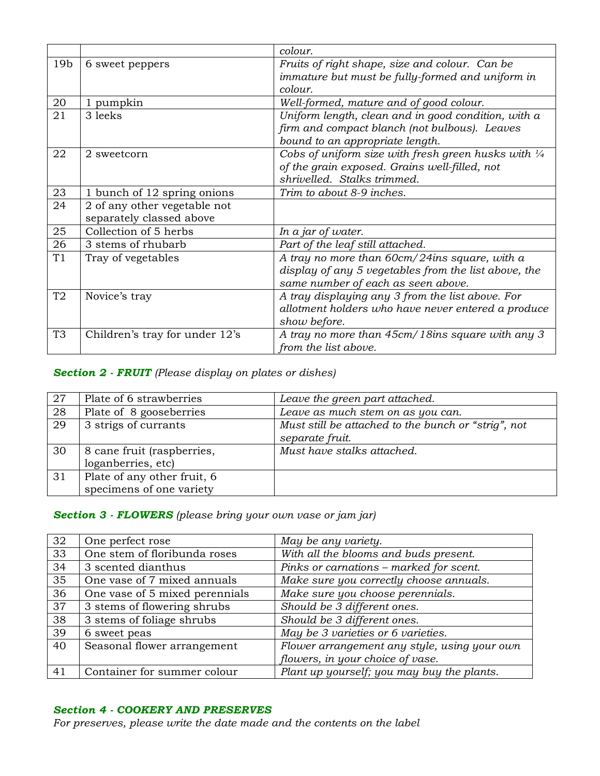|                 |                                | colour.                                                        |
|-----------------|--------------------------------|----------------------------------------------------------------|
| 19 <sub>b</sub> | 6 sweet peppers                | Fruits of right shape, size and colour. Can be                 |
|                 |                                | immature but must be fully-formed and uniform in               |
|                 |                                | colour.                                                        |
| 20              | 1 pumpkin                      | Well-formed, mature and of good colour.                        |
| 21              | 3 leeks                        | Uniform length, clean and in good condition, with a            |
|                 |                                | firm and compact blanch (not bulbous). Leaves                  |
|                 |                                | bound to an appropriate length.                                |
| 22              | 2 sweetcorn                    | Cobs of uniform size with fresh green husks with $\frac{1}{4}$ |
|                 |                                | of the grain exposed. Grains well-filled, not                  |
|                 |                                | shrivelled. Stalks trimmed.                                    |
| 23              | 1 bunch of 12 spring onions    | Trim to about 8-9 inches.                                      |
| 24              | 2 of any other vegetable not   |                                                                |
|                 | separately classed above       |                                                                |
| 25              | Collection of 5 herbs          | In a jar of water.                                             |
| 26              | 3 stems of rhubarb             | Part of the leaf still attached.                               |
| T1              | Tray of vegetables             | A tray no more than 60cm/24ins square, with a                  |
|                 |                                | display of any 5 vegetables from the list above, the           |
|                 |                                | same number of each as seen above.                             |
| T2              | Novice's tray                  | A tray displaying any 3 from the list above. For               |
|                 |                                | allotment holders who have never entered a produce             |
|                 |                                | show before.                                                   |
| T <sub>3</sub>  | Children's tray for under 12's | A tray no more than 45cm/18ins square with any 3               |
|                 |                                | from the list above.                                           |

## *Section 2 - FRUIT (Please display on plates or dishes)*

| 27 | Plate of 6 strawberries                                 | Leave the green part attached.                                         |
|----|---------------------------------------------------------|------------------------------------------------------------------------|
| 28 | Plate of 8 gooseberries                                 | Leave as much stem on as you can.                                      |
| 29 | 3 strigs of currants                                    | Must still be attached to the bunch or "strig", not<br>separate fruit. |
| 30 | 8 cane fruit (raspberries,<br>loganberries, etc)        | Must have stalks attached.                                             |
| 31 | Plate of any other fruit, 6<br>specimens of one variety |                                                                        |

# *Section 3 - FLOWERS (please bring your own vase or jam jar)*

| 32 | One perfect rose               | May be any variety.                          |
|----|--------------------------------|----------------------------------------------|
| 33 | One stem of floribunda roses   | With all the blooms and buds present.        |
| 34 | 3 scented dianthus             | Pinks or carnations - marked for scent.      |
| 35 | One vase of 7 mixed annuals    | Make sure you correctly choose annuals.      |
| 36 | One vase of 5 mixed perennials | Make sure you choose perennials.             |
| 37 | 3 stems of flowering shrubs    | Should be 3 different ones.                  |
| 38 | 3 stems of foliage shrubs      | Should be 3 different ones.                  |
| 39 | 6 sweet peas                   | May be 3 varieties or 6 varieties.           |
| 40 | Seasonal flower arrangement    | Flower arrangement any style, using your own |
|    |                                | flowers, in your choice of vase.             |
| 41 | Container for summer colour    | Plant up yourself; you may buy the plants.   |

### *Section 4 - COOKERY AND PRESERVES*

*For preserves, please write the date made and the contents on the label*